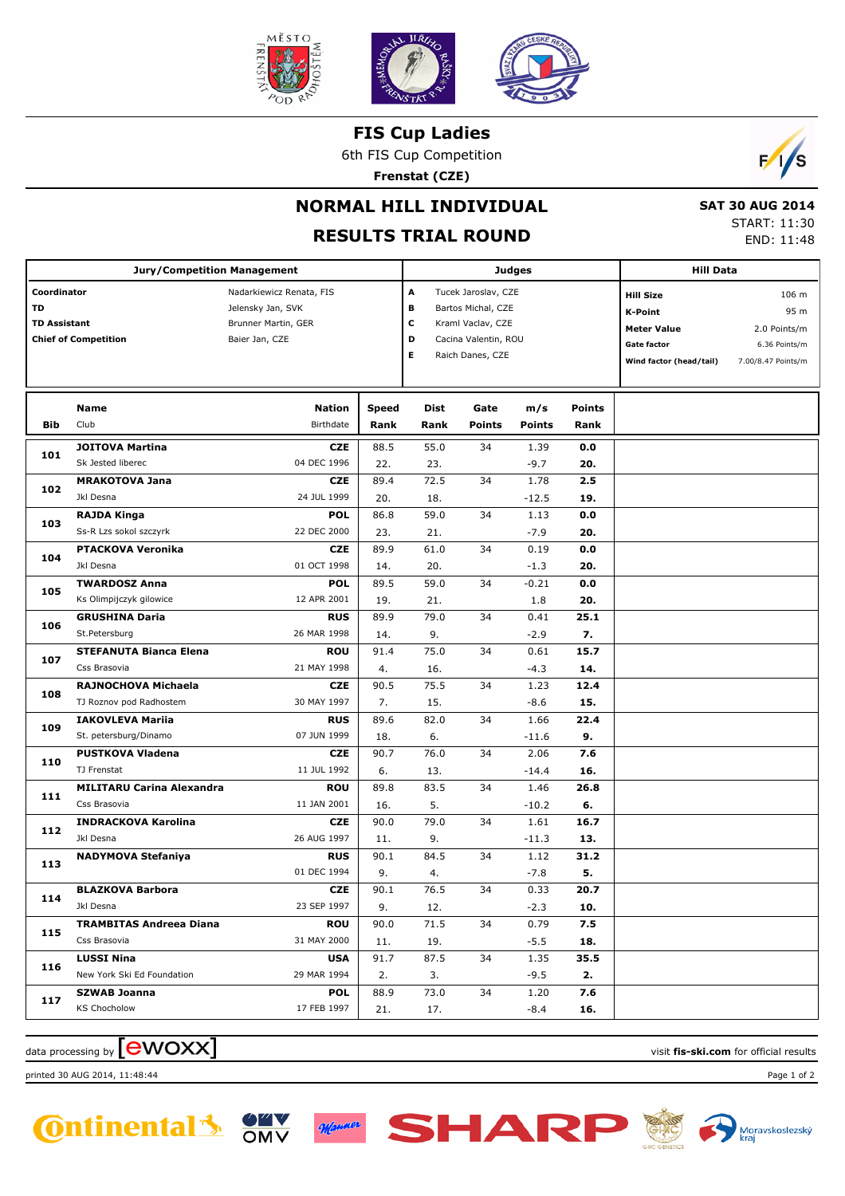

**FIS Cup Ladies**

6th FIS Cup Competition

**Frenstat (CZE)**



## **NORMAL HILL INDIVIDUAL**

## **RESULTS TRIAL ROUND**

 **SAT 30 AUG 2014** START: 11:30 END: 11:48

|                     |                                    |                                   |              |      |                      | <b>Hill Data</b> |               |                         |                    |  |
|---------------------|------------------------------------|-----------------------------------|--------------|------|----------------------|------------------|---------------|-------------------------|--------------------|--|
|                     | <b>Jury/Competition Management</b> |                                   |              |      | <b>Judges</b>        |                  |               |                         |                    |  |
| Coordinator         |                                    | Nadarkiewicz Renata, FIS          |              | А    | Tucek Jaroslav, CZE  |                  |               | <b>Hill Size</b>        | 106 m              |  |
| TD                  |                                    | Jelensky Jan, SVK                 |              | в    | Bartos Michal, CZE   |                  |               | <b>K-Point</b>          | 95 m               |  |
| <b>TD Assistant</b> |                                    | Brunner Martin, GER               |              | с    | Kraml Vaclav, CZE    |                  |               | <b>Meter Value</b>      | 2.0 Points/m       |  |
|                     | <b>Chief of Competition</b>        | Baier Jan, CZE                    |              | D    | Cacina Valentin, ROU |                  |               | Gate factor             | 6.36 Points/m      |  |
|                     |                                    |                                   |              | Е    | Raich Danes, CZE     |                  |               | Wind factor (head/tail) | 7.00/8.47 Points/m |  |
|                     |                                    |                                   |              |      |                      |                  |               |                         |                    |  |
|                     |                                    |                                   |              |      |                      |                  |               |                         |                    |  |
|                     | Name<br>Club                       | <b>Nation</b><br><b>Birthdate</b> | <b>Speed</b> | Dist | Gate                 | m/s              | <b>Points</b> |                         |                    |  |
| Bib                 |                                    |                                   | Rank         | Rank | <b>Points</b>        | <b>Points</b>    | Rank          |                         |                    |  |
| 101                 | <b>JOITOVA Martina</b>             | <b>CZE</b>                        | 88.5         | 55.0 | 34                   | 1.39             | 0.0           |                         |                    |  |
|                     | Sk Jested liberec                  | 04 DEC 1996                       | 22.          | 23.  |                      | $-9.7$           | 20.           |                         |                    |  |
| 102                 | <b>MRAKOTOVA Jana</b>              | <b>CZE</b>                        | 89.4         | 72.5 | 34                   | 1.78             | 2.5           |                         |                    |  |
|                     | Jkl Desna                          | 24 JUL 1999                       | 20.          | 18.  |                      | $-12.5$          | 19.           |                         |                    |  |
| 103                 | <b>RAJDA Kinga</b>                 | <b>POL</b>                        | 86.8         | 59.0 | 34                   | 1.13             | 0.0           |                         |                    |  |
|                     | Ss-R Lzs sokol szczyrk             | 22 DEC 2000                       | 23.          | 21.  |                      | $-7.9$           | 20.           |                         |                    |  |
| 104                 | <b>PTACKOVA Veronika</b>           | <b>CZE</b>                        | 89.9         | 61.0 | 34                   | 0.19             | 0.0           |                         |                    |  |
|                     | Jkl Desna                          | 01 OCT 1998                       | 14.          | 20.  |                      | $-1.3$           | 20.           |                         |                    |  |
| 105                 | <b>TWARDOSZ Anna</b>               | <b>POL</b>                        | 89.5         | 59.0 | 34                   | $-0.21$          | 0.0           |                         |                    |  |
|                     | Ks Olimpijczyk gilowice            | 12 APR 2001                       | 19.          | 21.  |                      | 1.8              | 20.           |                         |                    |  |
| 106                 | <b>GRUSHINA Daria</b>              | <b>RUS</b>                        | 89.9         | 79.0 | 34                   | 0.41             | 25.1          |                         |                    |  |
|                     | St.Petersburg                      | 26 MAR 1998                       | 14.          | 9.   |                      | $-2.9$           | 7.            |                         |                    |  |
| 107                 | <b>STEFANUTA Bianca Elena</b>      | <b>ROU</b>                        | 91.4         | 75.0 | 34                   | 0.61             | 15.7          |                         |                    |  |
|                     | Css Brasovia                       | 21 MAY 1998                       | 4.           | 16.  |                      | $-4.3$           | 14.           |                         |                    |  |
| 108                 | RAJNOCHOVA Michaela                | <b>CZE</b>                        | 90.5         | 75.5 | 34                   | 1.23             | 12.4          |                         |                    |  |
|                     | TJ Roznov pod Radhostem            | 30 MAY 1997                       | 7.           | 15.  |                      | $-8.6$           | 15.           |                         |                    |  |
|                     | <b>IAKOVLEVA Mariia</b>            | <b>RUS</b>                        | 89.6         | 82.0 | 34                   | 1.66             | 22.4          |                         |                    |  |
| 109                 | St. petersburg/Dinamo              | 07 JUN 1999                       | 18.          | 6.   |                      | $-11.6$          | 9.            |                         |                    |  |
|                     | <b>PUSTKOVA Vladena</b>            | <b>CZE</b>                        | 90.7         | 76.0 | 34                   | 2.06             | 7.6           |                         |                    |  |
| 110                 | TJ Frenstat                        | 11 JUL 1992                       | 6.           | 13.  |                      | $-14.4$          | 16.           |                         |                    |  |
|                     | <b>MILITARU Carina Alexandra</b>   | <b>ROU</b>                        | 89.8         | 83.5 | 34                   | 1.46             | 26.8          |                         |                    |  |
| 111                 | Css Brasovia                       | 11 JAN 2001                       | 16.          | 5.   |                      | $-10.2$          | 6.            |                         |                    |  |
|                     | <b>INDRACKOVA Karolina</b>         | <b>CZE</b>                        | 90.0         | 79.0 | 34                   | 1.61             | 16.7          |                         |                    |  |
| 112                 | Jkl Desna                          | 26 AUG 1997                       | 11.          | 9.   |                      | $-11.3$          | 13.           |                         |                    |  |
|                     | <b>NADYMOVA Stefaniya</b>          | <b>RUS</b>                        | 90.1         | 84.5 | 34                   | 1.12             | 31.2          |                         |                    |  |
| 113                 |                                    | 01 DEC 1994                       | 9.           | 4.   |                      | $-7.8$           | 5.            |                         |                    |  |
|                     | <b>BLAZKOVA Barbora</b>            | <b>CZE</b>                        | 90.1         | 76.5 | 34                   | 0.33             | 20.7          |                         |                    |  |
| 114                 | Jkl Desna                          | 23 SEP 1997                       | 9.           | 12.  |                      | $-2.3$           | 10.           |                         |                    |  |
|                     | <b>TRAMBITAS Andreea Diana</b>     | <b>ROU</b>                        | 90.0         | 71.5 | 34                   | 0.79             | 7.5           |                         |                    |  |
| 115                 | Css Brasovia                       | 31 MAY 2000                       | 11.          | 19.  |                      | $-5.5$           | 18.           |                         |                    |  |
|                     | <b>LUSSI Nina</b>                  | <b>USA</b>                        | 91.7         | 87.5 | 34                   | 1.35             | 35.5          |                         |                    |  |
| 116                 | New York Ski Ed Foundation         | 29 MAR 1994                       | 2.           | 3.   |                      | $-9.5$           | 2.            |                         |                    |  |
|                     | <b>SZWAB Joanna</b>                | POL                               | 88.9         | 73.0 | 34                   | 1.20             | 7.6           |                         |                    |  |
| 117                 | <b>KS Chocholow</b>                | 17 FEB 1997                       | 21.          | 17.  |                      | -8.4             | 16.           |                         |                    |  |

data processing by **CWOXX**  $\blacksquare$ 

printed 30 AUG 2014, 11:48:44 Page 1 of 2